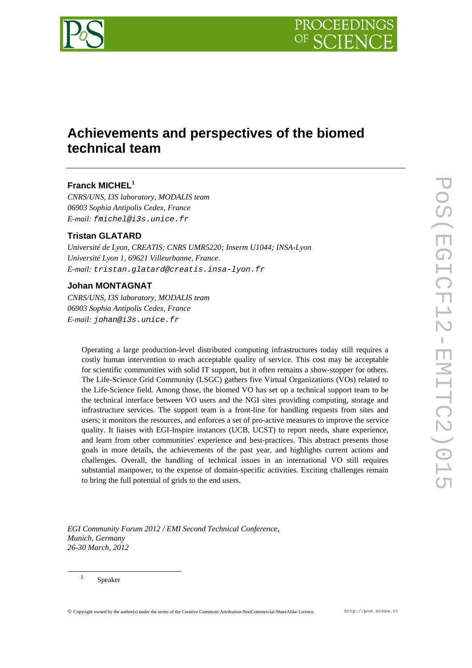



# **Achievements and perspectives of the biomed technical team**

## **Franck MICHEL<sup>1</sup>**

*CNRS/UNS, I3S laboratory, MODALIS team 06903 Sophia Antipolis Cedex, France E-mail: fmichel@i3s.unice.fr* 

## **Tristan GLATARD**

*Université de Lyon, CREATIS; CNRS UMR5220; Inserm U1044; INSA-Lyon Université Lyon 1, 69621 Villeurbanne, France. E-mail: tristan.glatard@creatis.insa-lyon.fr* 

### **Johan MONTAGNAT**

*CNRS/UNS, I3S laboratory, MODALIS team 06903 Sophia Antipolis Cedex, France E-mail: johan@i3s.unice.fr* 

Operating a large production-level distributed computing infrastructures today still requires a costly human intervention to reach acceptable quality of service. This cost may be acceptable for scientific communities with solid IT support, but it often remains a show-stopper for others. The Life-Science Grid Community (LSGC) gathers five Virtual Organizations (VOs) related to the Life-Science field. Among those, the biomed VO has set up a technical support team to be the technical interface between VO users and the NGI sites providing computing, storage and infrastructure services. The support team is a front-line for handling requests from sites and users; it monitors the resources, and enforces a set of pro-active measures to improve the service quality. It liaises with EGI-Inspire instances (UCB, UCST) to report needs, share experience, and learn from other communities' experience and best-practices. This abstract presents those goals in more details, the achievements of the past year, and highlights current actions and challenges. Overall, the handling of technical issues in an international VO still requires substantial manpower, to the expense of domain-specific activities. Exciting challenges remain to bring the full potential of grids to the end users.

*EGI Community Forum 2012 / EMI Second Technical Conference*, *Munich, Germany 26-30 March, 2012* 

Speaker

<sup>1</sup>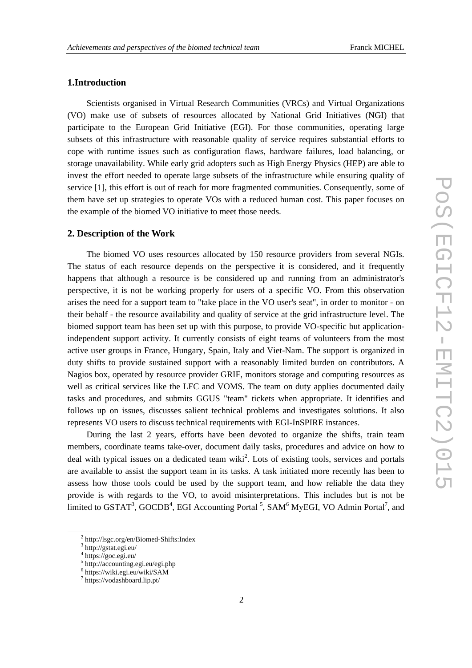#### **1.Introduction**

Scientists organised in Virtual Research Communities (VRCs) and Virtual Organizations (VO) make use of subsets of resources allocated by National Grid Initiatives (NGI) that participate to the European Grid Initiative (EGI). For those communities, operating large subsets of this infrastructure with reasonable quality of service requires substantial efforts to cope with runtime issues such as configuration flaws, hardware failures, load balancing, or storage unavailability. While early grid adopters such as High Energy Physics (HEP) are able to invest the effort needed to operate large subsets of the infrastructure while ensuring quality of service [1], this effort is out of reach for more fragmented communities. Consequently, some of them have set up strategies to operate VOs with a reduced human cost. This paper focuses on the example of the biomed VO initiative to meet those needs.

#### **2. Description of the Work**

The biomed VO uses resources allocated by 150 resource providers from several NGIs. The status of each resource depends on the perspective it is considered, and it frequently happens that although a resource is be considered up and running from an administrator's perspective, it is not be working properly for users of a specific VO. From this observation arises the need for a support team to "take place in the VO user's seat", in order to monitor - on their behalf - the resource availability and quality of service at the grid infrastructure level. The biomed support team has been set up with this purpose, to provide VO-specific but applicationindependent support activity. It currently consists of eight teams of volunteers from the most active user groups in France, Hungary, Spain, Italy and Viet-Nam. The support is organized in duty shifts to provide sustained support with a reasonably limited burden on contributors. A Nagios box, operated by resource provider GRIF, monitors storage and computing resources as well as critical services like the LFC and VOMS. The team on duty applies documented daily tasks and procedures, and submits GGUS "team" tickets when appropriate. It identifies and follows up on issues, discusses salient technical problems and investigates solutions. It also represents VO users to discuss technical requirements with EGI-InSPIRE instances.

During the last 2 years, efforts have been devoted to organize the shifts, train team members, coordinate teams take-over, document daily tasks, procedures and advice on how to deal with typical issues on a dedicated team wiki<sup>2</sup>. Lots of existing tools, services and portals are available to assist the support team in its tasks. A task initiated more recently has been to assess how those tools could be used by the support team, and how reliable the data they provide is with regards to the VO, to avoid misinterpretations. This includes but is not be limited to  $GSTAT^3$ ,  $GOCDB^4$ , EGI Accounting Portal<sup>5</sup>,  $SAM^6$  MyEGI, VO Admin Portal<sup>7</sup>, and

 $\frac{1}{2}$ http://lsgc.org/en/Biomed-Shifts:Index

<sup>3</sup> http://gstat.egi.eu/

<sup>4</sup> https://goc.egi.eu/

<sup>5</sup> http://accounting.egi.eu/egi.php

<sup>6</sup> https://wiki.egi.eu/wiki/SAM

<sup>7</sup> https://vodashboard.lip.pt/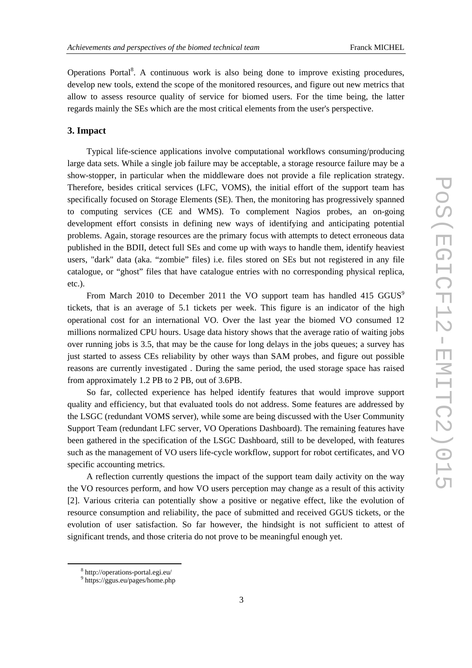Operations Portal<sup>8</sup>. A continuous work is also being done to improve existing procedures, develop new tools, extend the scope of the monitored resources, and figure out new metrics that allow to assess resource quality of service for biomed users. For the time being, the latter regards mainly the SEs which are the most critical elements from the user's perspective.

#### **3. Impact**

Typical life-science applications involve computational workflows consuming/producing large data sets. While a single job failure may be acceptable, a storage resource failure may be a show-stopper, in particular when the middleware does not provide a file replication strategy. Therefore, besides critical services (LFC, VOMS), the initial effort of the support team has specifically focused on Storage Elements (SE). Then, the monitoring has progressively spanned to computing services (CE and WMS). To complement Nagios probes, an on-going development effort consists in defining new ways of identifying and anticipating potential problems. Again, storage resources are the primary focus with attempts to detect erroneous data published in the BDII, detect full SEs and come up with ways to handle them, identify heaviest users, "dark" data (aka. "zombie" files) i.e. files stored on SEs but not registered in any file catalogue, or "ghost" files that have catalogue entries with no corresponding physical replica, etc.).

From March 2010 to December 2011 the VO support team has handled 415 GGUS<sup>9</sup> tickets, that is an average of 5.1 tickets per week. This figure is an indicator of the high operational cost for an international VO. Over the last year the biomed VO consumed 12 millions normalized CPU hours. Usage data history shows that the average ratio of waiting jobs over running jobs is 3.5, that may be the cause for long delays in the jobs queues; a survey has just started to assess CEs reliability by other ways than SAM probes, and figure out possible reasons are currently investigated . During the same period, the used storage space has raised from approximately 1.2 PB to 2 PB, out of 3.6PB.

So far, collected experience has helped identify features that would improve support quality and efficiency, but that evaluated tools do not address. Some features are addressed by the LSGC (redundant VOMS server), while some are being discussed with the User Community Support Team (redundant LFC server, VO Operations Dashboard). The remaining features have been gathered in the specification of the LSGC Dashboard, still to be developed, with features such as the management of VO users life-cycle workflow, support for robot certificates, and VO specific accounting metrics.

A reflection currently questions the impact of the support team daily activity on the way the VO resources perform, and how VO users perception may change as a result of this activity [2]. Various criteria can potentially show a positive or negative effect, like the evolution of resource consumption and reliability, the pace of submitted and received GGUS tickets, or the evolution of user satisfaction. So far however, the hindsight is not sufficient to attest of significant trends, and those criteria do not prove to be meaningful enough yet.

 $\frac{1}{8}$ http://operations-portal.egi.eu/

<sup>9</sup> https://ggus.eu/pages/home.php